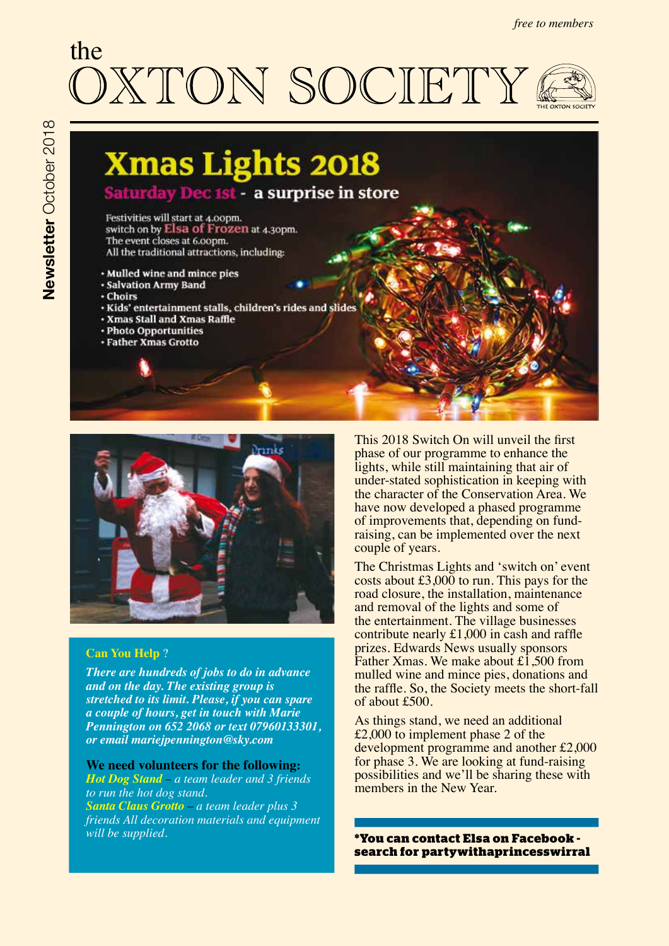# the **STON SOCIETY**





# **Can You Help** ?

*There are hundreds of jobs to do in advance and on the day. The existing group is stretched to its limit. Please, if you can spare a couple of hours, get in touch with Marie Pennington on 652 2068 or text 07960133301, or email mariejpennington@sky.com*

**We need volunteers for the following:** 

*Hot Dog Stand – a team leader and 3 friends to run the hot dog stand. Santa Claus Grotto – a team leader plus 3 friends All decoration materials and equipment will be supplied.* **\*You can contact Elsa on Facebook -** 

This 2018 Switch On will unveil the frst phase of our programme to enhance the lights, while still maintaining that air of under-stated sophistication in keeping with the character of the Conservation Area. We have now developed a phased programme of improvements that, depending on fundraising, can be implemented over the next couple of years.

The Christmas Lights and 'switch on' event costs about  $£3,000$  to run. This pays for the road closure, the installation, maintenance and removal of the lights and some of the entertainment. The village businesses contribute nearly £1,000 in cash and raffe prizes. Edwards News usually sponsors Father Xmas. We make about  $\pm 1,500$  from mulled wine and mince pies, donations and the raffe. So, the Society meets the short-fall of about £500.

As things stand, we need an additional £2,000 to implement phase 2 of the development programme and another £2,000 for phase 3. We are looking at fund-raising possibilities and we'll be sharing these with members in the New Year.

**search for partywithaprincesswirral**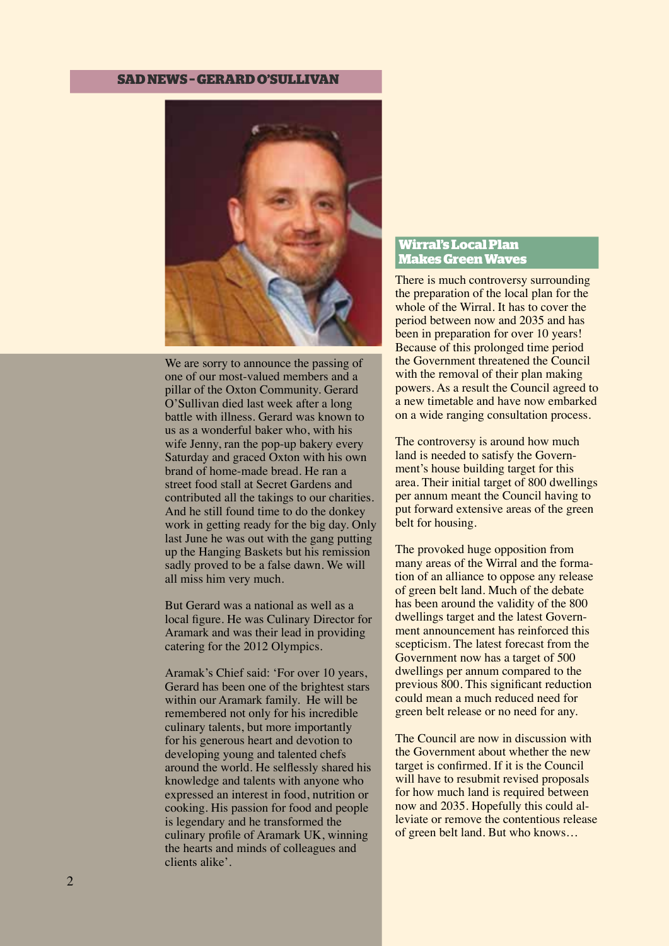# **SAD NEWS – GERARD O'SULLIVAN**



We are sorry to announce the passing of one of our most-valued members and a pillar of the Oxton Community. Gerard O'Sullivan died last week after a long battle with illness. Gerard was known to us as a wonderful baker who, with his wife Jenny, ran the pop-up bakery every Saturday and graced Oxton with his own brand of home-made bread. He ran a street food stall at Secret Gardens and contributed all the takings to our charities. And he still found time to do the donkey work in getting ready for the big day. Only last June he was out with the gang putting up the Hanging Baskets but his remission sadly proved to be a false dawn. We will all miss him very much.

But Gerard was a national as well as a local fgure. He was Culinary Director for Aramark and was their lead in providing catering for the 2012 Olympics.

Aramak's Chief said: 'For over 10 years, Gerard has been one of the brightest stars within our Aramark family. He will be remembered not only for his incredible culinary talents, but more importantly for his generous heart and devotion to developing young and talented chefs around the world. He selfessly shared his knowledge and talents with anyone who expressed an interest in food, nutrition or cooking. His passion for food and people is legendary and he transformed the culinary profle of Aramark UK, winning the hearts and minds of colleagues and clients alike'.

# **Wirral's Local Plan Makes Green Waves**

There is much controversy surrounding the preparation of the local plan for the whole of the Wirral. It has to cover the period between now and 2035 and has been in preparation for over 10 years! Because of this prolonged time period the Government threatened the Council with the removal of their plan making powers. As a result the Council agreed to a new timetable and have now embarked on a wide ranging consultation process.

The controversy is around how much land is needed to satisfy the Government's house building target for this area. Their initial target of 800 dwellings per annum meant the Council having to put forward extensive areas of the green belt for housing.

The provoked huge opposition from many areas of the Wirral and the formation of an alliance to oppose any release of green belt land. Much of the debate has been around the validity of the 800 dwellings target and the latest Government announcement has reinforced this scepticism. The latest forecast from the Government now has a target of 500 dwellings per annum compared to the previous 800. This signifcant reduction could mean a much reduced need for green belt release or no need for any.

The Council are now in discussion with the Government about whether the new target is confrmed. If it is the Council will have to resubmit revised proposals for how much land is required between now and 2035. Hopefully this could alleviate or remove the contentious release of green belt land. But who knows…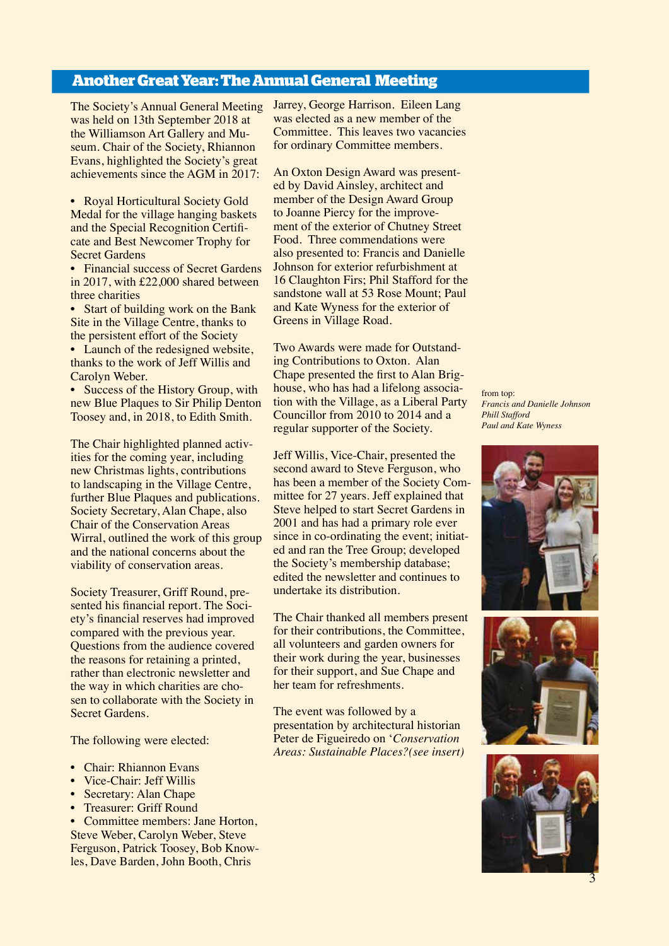# **Another Great Year: The Annual General Meeting**

The Society's Annual General Meeting was held on 13th September 2018 at the Williamson Art Gallery and Museum. Chair of the Society, Rhiannon Evans, highlighted the Society's great achievements since the AGM in 2017:

• Royal Horticultural Society Gold Medal for the village hanging baskets and the Special Recognition Certifcate and Best Newcomer Trophy for Secret Gardens

• Financial success of Secret Gardens in 2017, with £22,000 shared between three charities

• Start of building work on the Bank Site in the Village Centre, thanks to the persistent effort of the Society

• Launch of the redesigned website, thanks to the work of Jeff Willis and Carolyn Weber.

• Success of the History Group, with new Blue Plaques to Sir Philip Denton Toosey and, in 2018, to Edith Smith.

The Chair highlighted planned activities for the coming year, including new Christmas lights, contributions to landscaping in the Village Centre, further Blue Plaques and publications. Society Secretary, Alan Chape, also Chair of the Conservation Areas Wirral, outlined the work of this group and the national concerns about the viability of conservation areas.

Society Treasurer, Griff Round, presented his fnancial report. The Society's fnancial reserves had improved compared with the previous year. Questions from the audience covered the reasons for retaining a printed, rather than electronic newsletter and the way in which charities are chosen to collaborate with the Society in Secret Gardens.

The following were elected:

- Chair: Rhiannon Evans
- Vice-Chair: Jeff Willis
- Secretary: Alan Chape
- Treasurer: Griff Round

• Committee members: Jane Horton, Steve Weber, Carolyn Weber, Steve Ferguson, Patrick Toosey, Bob Knowles, Dave Barden, John Booth, Chris

Jarrey, George Harrison. Eileen Lang was elected as a new member of the Committee. This leaves two vacancies for ordinary Committee members.

An Oxton Design Award was presented by David Ainsley, architect and member of the Design Award Group to Joanne Piercy for the improvement of the exterior of Chutney Street Food. Three commendations were also presented to: Francis and Danielle Johnson for exterior refurbishment at 16 Claughton Firs; Phil Stafford for the sandstone wall at 53 Rose Mount; Paul and Kate Wyness for the exterior of Greens in Village Road.

Two Awards were made for Outstanding Contributions to Oxton. Alan Chape presented the frst to Alan Brighouse, who has had a lifelong association with the Village, as a Liberal Party Councillor from 2010 to 2014 and a regular supporter of the Society.

Jeff Willis, Vice-Chair, presented the second award to Steve Ferguson, who has been a member of the Society Committee for 27 years. Jeff explained that Steve helped to start Secret Gardens in 2001 and has had a primary role ever since in co-ordinating the event; initiated and ran the Tree Group; developed the Society's membership database; edited the newsletter and continues to undertake its distribution.

The Chair thanked all members present for their contributions, the Committee, all volunteers and garden owners for their work during the year, businesses for their support, and Sue Chape and her team for refreshments.

The event was followed by a presentation by architectural historian Peter de Figueiredo on '*Conservation Areas: Sustainable Places?(see insert)*







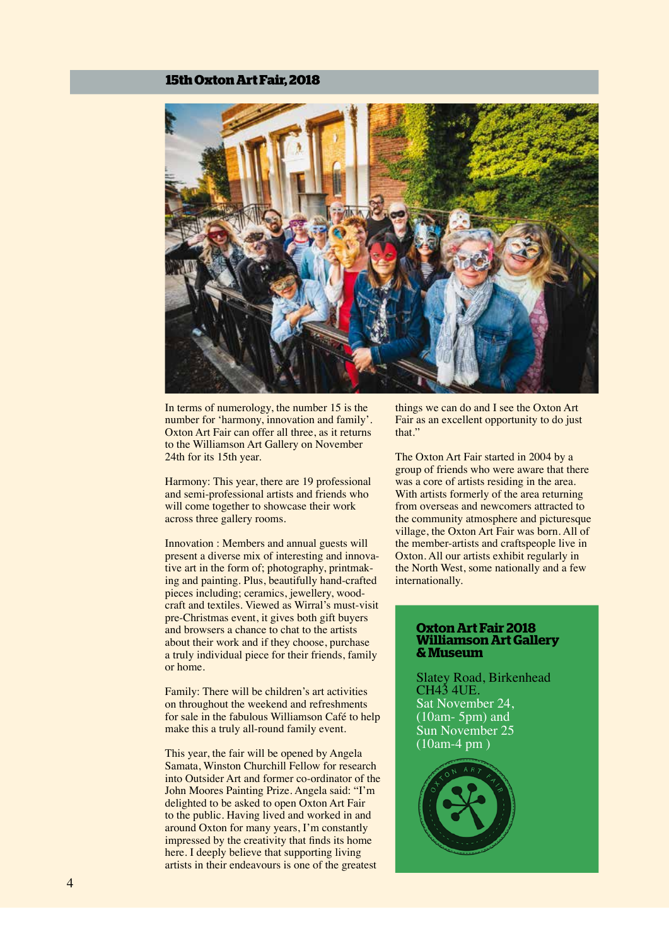#### **15th Oxton Art Fair, 2018**



In terms of numerology, the number 15 is the number for 'harmony, innovation and family'. Oxton Art Fair can offer all three, as it returns to the Williamson Art Gallery on November 24th for its 15th year.

Harmony: This year, there are 19 professional and semi-professional artists and friends who will come together to showcase their work across three gallery rooms.

Innovation : Members and annual guests will present a diverse mix of interesting and innovative art in the form of; photography, printmaking and painting. Plus, beautifully hand-crafted pieces including; ceramics, jewellery, woodcraft and textiles. Viewed as Wirral's must-visit pre-Christmas event, it gives both gift buyers and browsers a chance to chat to the artists about their work and if they choose, purchase a truly individual piece for their friends, family or home.

Family: There will be children's art activities on throughout the weekend and refreshments for sale in the fabulous Williamson Café to help make this a truly all-round family event.

This year, the fair will be opened by Angela Samata, Winston Churchill Fellow for research into Outsider Art and former co-ordinator of the John Moores Painting Prize. Angela said: "I'm delighted to be asked to open Oxton Art Fair to the public. Having lived and worked in and around Oxton for many years, I'm constantly impressed by the creativity that fnds its home here. I deeply believe that supporting living artists in their endeavours is one of the greatest

things we can do and I see the Oxton Art Fair as an excellent opportunity to do just that."

The Oxton Art Fair started in 2004 by a group of friends who were aware that there was a core of artists residing in the area. With artists formerly of the area returning from overseas and newcomers attracted to the community atmosphere and picturesque village, the Oxton Art Fair was born. All of the member-artists and craftspeople live in Oxton. All our artists exhibit regularly in the North West, some nationally and a few internationally.

#### **Oxton Art Fair 2018 Williamson Art Gallery & Museum**

Slatey Road, Birkenhead CH43 4UE. Sat November 24, (10am- 5pm) and Sun November 25 (10am-4 pm )

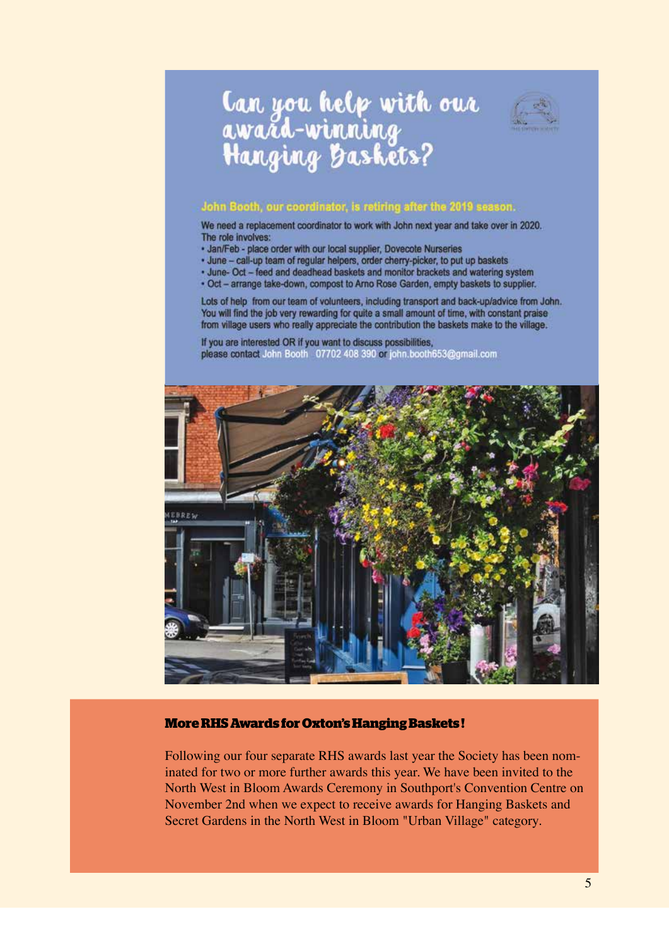# **Can you help with our<br>award-winning<br>Hanging Baskets?**



# John Booth, our coordinator, is retiring after the 2019 season.

We need a replacement coordinator to work with John next year and take over in 2020. The role involves:

- · Jan/Feb place order with our local supplier, Dovecote Nurseries
- · June call-up team of regular helpers, order cherry-picker, to put up baskets
- . June- Oct feed and deadhead baskets and monitor brackets and watering system
- . Oct arrange take-down, compost to Arno Rose Garden, empty baskets to supplier.

Lots of help from our team of volunteers, including transport and back-up/advice from John. You will find the job very rewarding for quite a small amount of time, with constant praise from village users who really appreciate the contribution the baskets make to the village.

If you are interested OR if you want to discuss possibilities, please contact John Booth 07702 408 390 or john booth653@gmail.com



# **More RHS Awards for Oxton's Hanging Baskets !**

Following our four separate RHS awards last year the Society has been nominated for two or more further awards this year. We have been invited to the North West in Bloom Awards Ceremony in Southport's Convention Centre on November 2nd when we expect to receive awards for Hanging Baskets and Secret Gardens in the North West in Bloom "Urban Village" category.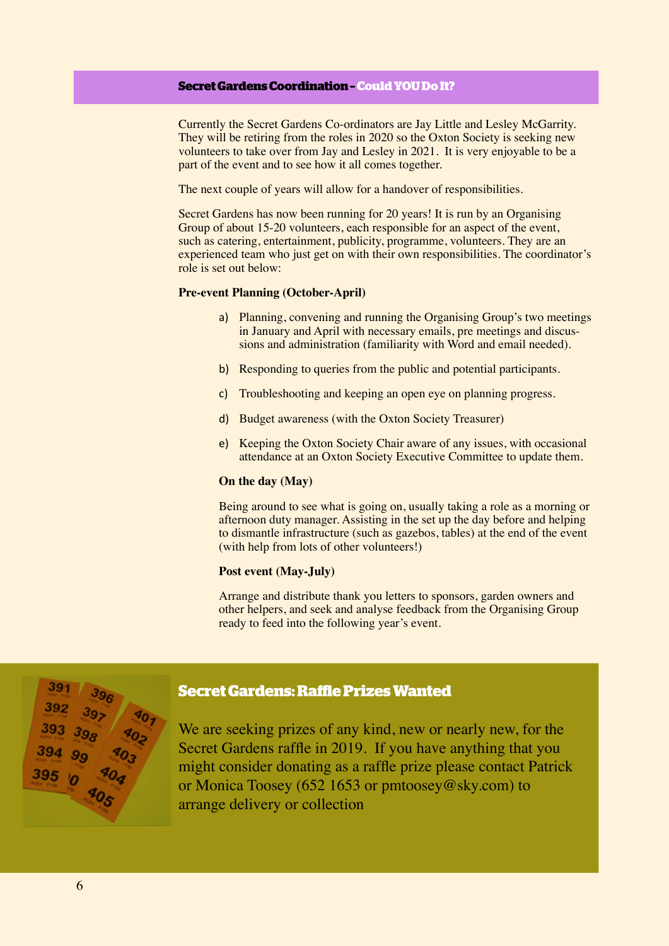# **Secret Gardens Coordination – Could YOU Do It?**

Currently the Secret Gardens Co-ordinators are Jay Little and Lesley McGarrity. They will be retiring from the roles in 2020 so the Oxton Society is seeking new volunteers to take over from Jay and Lesley in 2021. It is very enjoyable to be a part of the event and to see how it all comes together.

The next couple of years will allow for a handover of responsibilities.

Secret Gardens has now been running for 20 years! It is run by an Organising Group of about 15-20 volunteers, each responsible for an aspect of the event, such as catering, entertainment, publicity, programme, volunteers. They are an experienced team who just get on with their own responsibilities. The coordinator's role is set out below:

#### **Pre-event Planning (October-April)**

- a) Planning, convening and running the Organising Group's two meetings in January and April with necessary emails, pre meetings and discussions and administration (familiarity with Word and email needed).
- b) Responding to queries from the public and potential participants.
- c) Troubleshooting and keeping an open eye on planning progress.
- d) Budget awareness (with the Oxton Society Treasurer)
- e) Keeping the Oxton Society Chair aware of any issues, with occasional attendance at an Oxton Society Executive Committee to update them.

#### **On the day (May)**

Being around to see what is going on, usually taking a role as a morning or afternoon duty manager. Assisting in the set up the day before and helping to dismantle infrastructure (such as gazebos, tables) at the end of the event (with help from lots of other volunteers!)

# **Post event (May-July)**

Arrange and distribute thank you letters to sponsors, garden owners and other helpers, and seek and analyse feedback from the Organising Group ready to feed into the following year's event.



#### **Secret Gardens: Rafe Prizes Wanted**

We are seeking prizes of any kind, new or nearly new, for the Secret Gardens raffe in 2019. If you have anything that you might consider donating as a raffe prize please contact Patrick or Monica Toosey (652 1653 or pmtoosey@sky.com) to arrange delivery or collection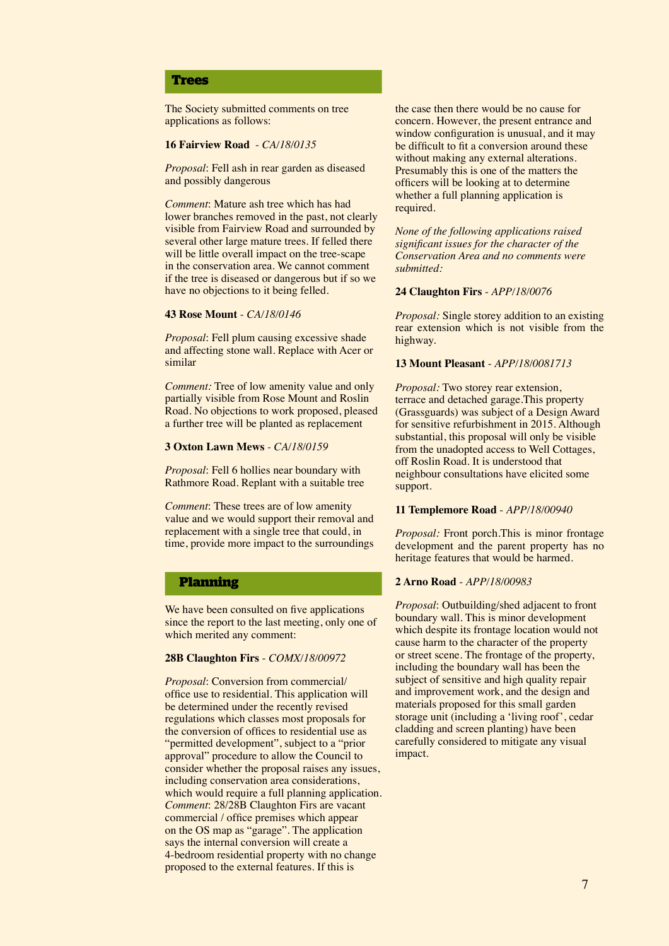#### **Trees**

The Society submitted comments on tree applications as follows:

#### **16 Fairview Road** - *CA/18/0135*

*Proposal*: Fell ash in rear garden as diseased and possibly dangerous

*Comment*: Mature ash tree which has had lower branches removed in the past, not clearly visible from Fairview Road and surrounded by several other large mature trees. If felled there will be little overall impact on the tree-scape in the conservation area. We cannot comment if the tree is diseased or dangerous but if so we have no objections to it being felled.

#### **43 Rose Mount** - *CA/18/0146*

*Proposal*: Fell plum causing excessive shade and affecting stone wall. Replace with Acer or similar

*Comment:* Tree of low amenity value and only partially visible from Rose Mount and Roslin Road. No objections to work proposed, pleased a further tree will be planted as replacement

#### **3 Oxton Lawn Mews** *- CA/18/0159*

*Proposal*: Fell 6 hollies near boundary with Rathmore Road. Replant with a suitable tree

*Comment*: These trees are of low amenity value and we would support their removal and replacement with a single tree that could, in time, provide more impact to the surroundings

#### **Planning**

We have been consulted on five applications since the report to the last meeting, only one of which merited any comment:

#### **28B Claughton Firs** - *COMX/18/00972*

*Proposal*: Conversion from commercial/ office use to residential. This application will be determined under the recently revised regulations which classes most proposals for the conversion of offices to residential use as "permitted development", subject to a "prior approval" procedure to allow the Council to consider whether the proposal raises any issues, including conservation area considerations, which would require a full planning application. *Comment*: 28/28B Claughton Firs are vacant commercial / office premises which appear on the OS map as "garage". The application says the internal conversion will create a 4-bedroom residential property with no change proposed to the external features. If this is

the case then there would be no cause for concern. However, the present entrance and window configuration is unusual, and it may be difficult to fit a conversion around these without making any external alterations. Presumably this is one of the matters the offcers will be looking at to determine whether a full planning application is required.

*None of the following applications raised signifcant issues for the character of the Conservation Area and no comments were submitted:*

#### **24 Claughton Firs** - *APP/18/0076*

*Proposal:* Single storey addition to an existing rear extension which is not visible from the highway.

#### **13 Mount Pleasant** - *APP/18/0081713*

*Proposal:* Two storey rear extension, terrace and detached garage.This property (Grassguards) was subject of a Design Award for sensitive refurbishment in 2015. Although substantial, this proposal will only be visible from the unadopted access to Well Cottages, off Roslin Road. It is understood that neighbour consultations have elicited some support.

#### **11 Templemore Road** - *APP/18/00940*

*Proposal:* Front porch.This is minor frontage development and the parent property has no heritage features that would be harmed.

#### **2 Arno Road** - *APP/18/00983*

*Proposal*: Outbuilding/shed adjacent to front boundary wall. This is minor development which despite its frontage location would not cause harm to the character of the property or street scene. The frontage of the property, including the boundary wall has been the subject of sensitive and high quality repair and improvement work, and the design and materials proposed for this small garden storage unit (including a 'living roof', cedar cladding and screen planting) have been carefully considered to mitigate any visual impact.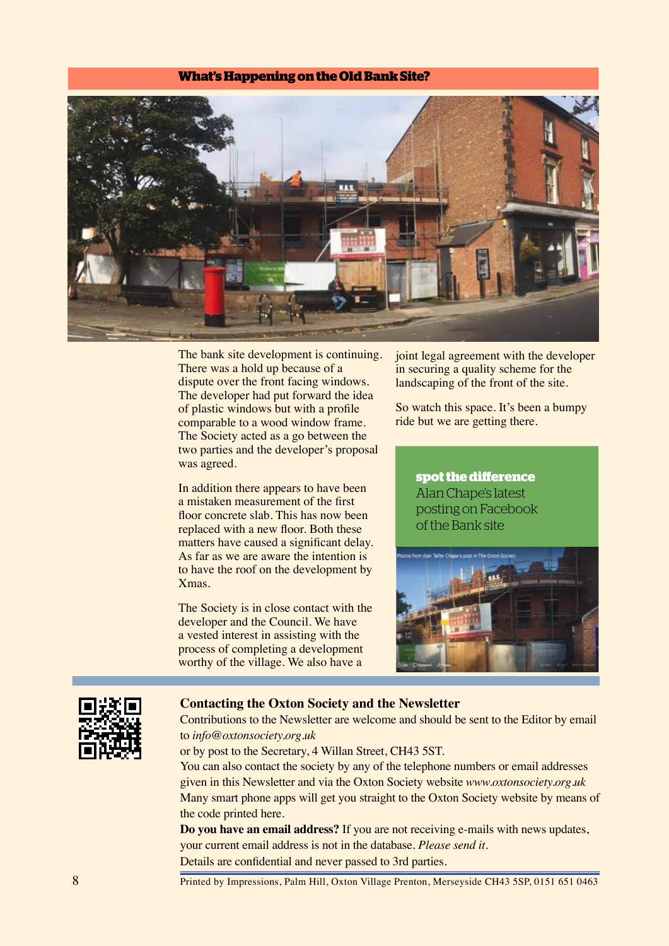# **What's Happening on the Old Bank Site?**



The bank site development is continuing. There was a hold up because of a dispute over the front facing windows. The developer had put forward the idea of plastic windows but with a profle comparable to a wood window frame. The Society acted as a go between the two parties and the developer's proposal was agreed.

In addition there appears to have been a mistaken measurement of the frst floor concrete slab. This has now been replaced with a new floor. Both these matters have caused a signifcant delay. As far as we are aware the intention is to have the roof on the development by Xmas.

The Society is in close contact with the developer and the Council. We have a vested interest in assisting with the process of completing a development worthy of the village. We also have a

joint legal agreement with the developer in securing a quality scheme for the landscaping of the front of the site.

So watch this space. It's been a bumpy ride but we are getting there.

> **spot the diference** Alan Chape's latest posting on Facebook of the Bank site





#### **Contacting the Oxton Society and the Newsletter**

Contributions to the Newsletter are welcome and should be sent to the Editor by email to *info@oxtonsociety.org.uk*

or by post to the Secretary, 4 Willan Street, CH43 5ST.

You can also contact the society by any of the telephone numbers or email addresses given in this Newsletter and via the Oxton Society website *www.oxtonsociety.org.uk*  Many smart phone apps will get you straight to the Oxton Society website by means of the code printed here.

**Do you have an email address?** If you are not receiving e-mails with news updates, your current email address is not in the database. *Please send it.*  Details are confdential and never passed to 3rd parties.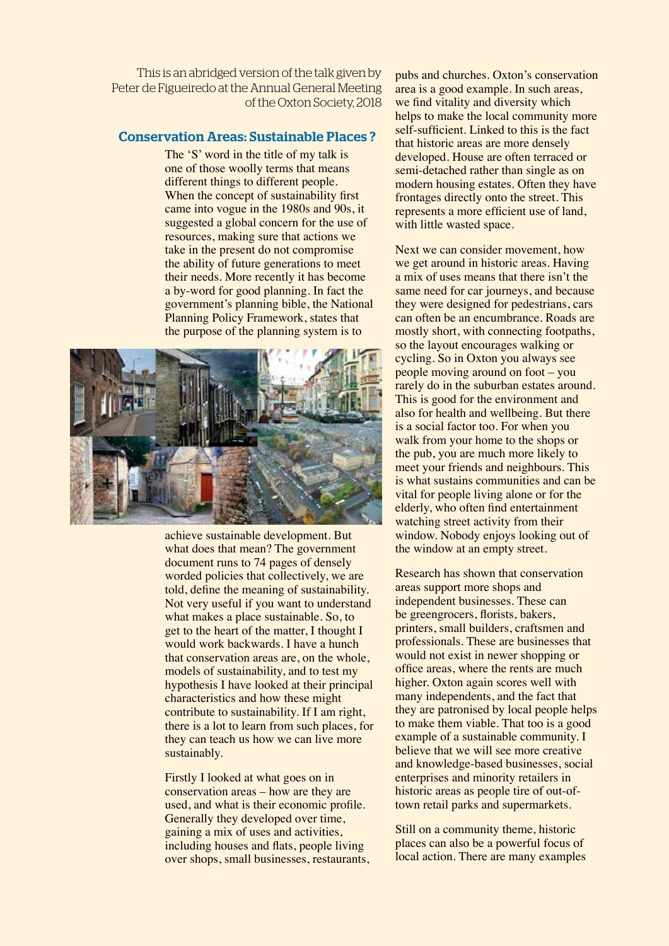This is an abridged version of the talk given by Peter de Figueiredo at the Annual General Meeting of the Oxton Society, 2018

## Conservation Areas: Sustainable Places ?

The 'S' word in the title of my talk is one of those woolly terms that means different things to different people. When the concept of sustainability first came into vogue in the 1980s and 90s, it suggested a global concern for the use of resources, making sure that actions we take in the present do not compromise the ability of future generations to meet their needs. More recently it has become a by-word for good planning. In fact the government's planning bible, the National Planning Policy Framework, states that the purpose of the planning system is to



achieve sustainable development. But what does that mean? The government document runs to 74 pages of densely worded policies that collectively, we are told, defne the meaning of sustainability. Not very useful if you want to understand what makes a place sustainable. So, to get to the heart of the matter, I thought I would work backwards. I have a hunch that conservation areas are, on the whole, models of sustainability, and to test my hypothesis I have looked at their principal characteristics and how these might contribute to sustainability. If I am right, there is a lot to learn from such places, for they can teach us how we can live more sustainably.

Firstly I looked at what goes on in conservation areas – how are they are used, and what is their economic profle. Generally they developed over time, gaining a mix of uses and activities, including houses and fats, people living over shops, small businesses, restaurants,

pubs and churches. Oxton's conservation area is a good example. In such areas, we fnd vitality and diversity which helps to make the local community more self-sufficient. Linked to this is the fact that historic areas are more densely developed. House are often terraced or semi-detached rather than single as on modern housing estates. Often they have frontages directly onto the street. This represents a more efficient use of land, with little wasted space.

Next we can consider movement, how we get around in historic areas. Having a mix of uses means that there isn't the same need for car journeys, and because they were designed for pedestrians, cars can often be an encumbrance. Roads are mostly short, with connecting footpaths, so the layout encourages walking or cycling. So in Oxton you always see people moving around on foot – you rarely do in the suburban estates around. This is good for the environment and also for health and wellbeing. But there is a social factor too. For when you walk from your home to the shops or the pub, you are much more likely to meet your friends and neighbours. This is what sustains communities and can be vital for people living alone or for the elderly, who often fnd entertainment watching street activity from their window. Nobody enjoys looking out of the window at an empty street.

Research has shown that conservation areas support more shops and independent businesses. These can be greengrocers, forists, bakers, printers, small builders, craftsmen and professionals. These are businesses that would not exist in newer shopping or office areas, where the rents are much higher. Oxton again scores well with many independents, and the fact that they are patronised by local people helps to make them viable. That too is a good example of a sustainable community. I believe that we will see more creative and knowledge-based businesses, social enterprises and minority retailers in historic areas as people tire of out-oftown retail parks and supermarkets.

Still on a community theme, historic places can also be a powerful focus of local action. There are many examples